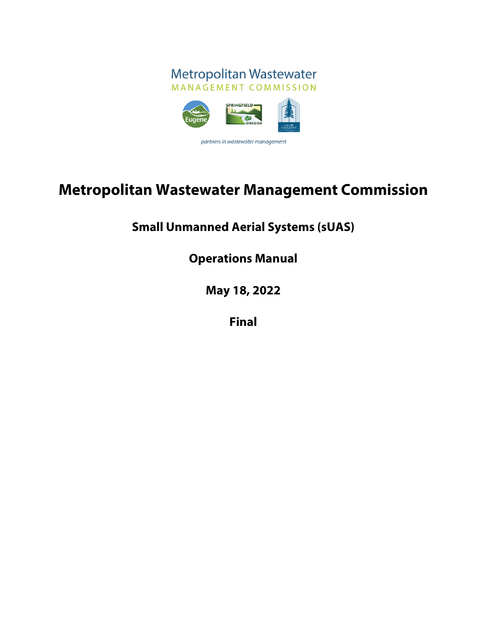

# **Metropolitan Wastewater Management Commission**

# **Small Unmanned Aerial Systems (sUAS)**

**Operations Manual**

**May 18, 2022**

**Final**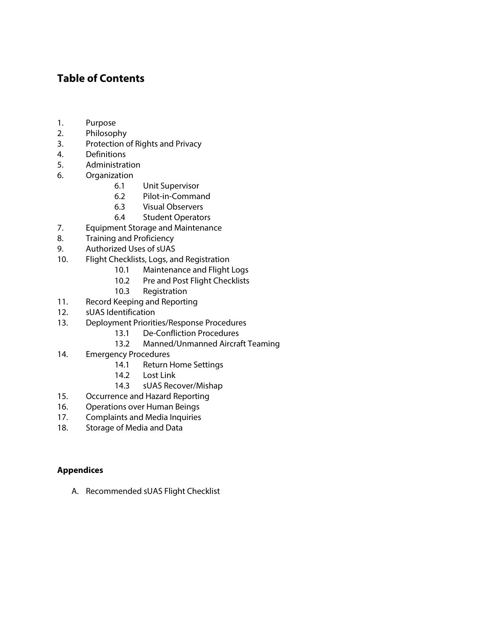# **Table of Contents**

- 1. Purpose
- 2. Philosophy
- 3. Protection of Rights and Privacy
- 4. Definitions
- 5. Administration
- 6. Organization
	- 6.1 Unit Supervisor
	- 6.2 Pilot-in-Command
	- 6.3 Visual Observers
	- 6.4 Student Operators
- 7. Equipment Storage and Maintenance
- 8. Training and Proficiency
- 9. Authorized Uses of sUAS
- 10. Flight Checklists, Logs, and Registration
	- 10.1 Maintenance and Flight Logs
	- 10.2 Pre and Post Flight Checklists
	- 10.3 Registration
- 11. Record Keeping and Reporting
- 12. sUAS Identification
- 13. Deployment Priorities/Response Procedures
	- 13.1 De-Confliction Procedures
	- 13.2 Manned/Unmanned Aircraft Teaming
- 14. Emergency Procedures
	- 14.1 Return Home Settings
	- 14.2 Lost Link
	- 14.3 sUAS Recover/Mishap
- 15. Occurrence and Hazard Reporting
- 16. Operations over Human Beings
- 17. Complaints and Media Inquiries
- 18. Storage of Media and Data

# **Appendices**

A. Recommended sUAS Flight Checklist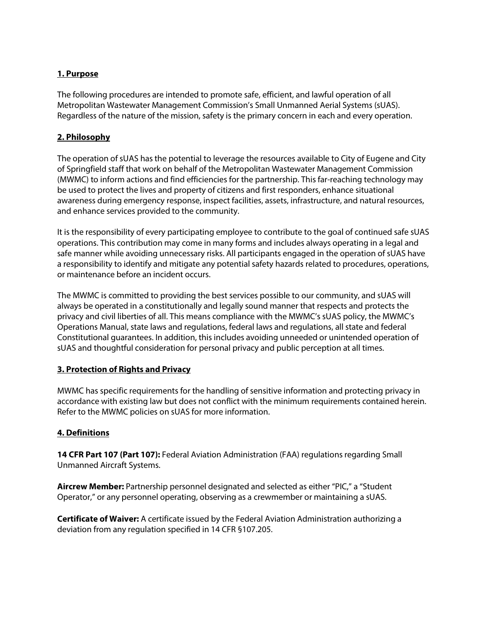# **1. Purpose**

The following procedures are intended to promote safe, efficient, and lawful operation of all Metropolitan Wastewater Management Commission's Small Unmanned Aerial Systems (sUAS). Regardless of the nature of the mission, safety is the primary concern in each and every operation.

#### **2. Philosophy**

The operation of sUAS has the potential to leverage the resources available to City of Eugene and City of Springfield staff that work on behalf of the Metropolitan Wastewater Management Commission (MWMC) to inform actions and find efficiencies for the partnership. This far-reaching technology may be used to protect the lives and property of citizens and first responders, enhance situational awareness during emergency response, inspect facilities, assets, infrastructure, and natural resources, and enhance services provided to the community.

It is the responsibility of every participating employee to contribute to the goal of continued safe sUAS operations. This contribution may come in many forms and includes always operating in a legal and safe manner while avoiding unnecessary risks. All participants engaged in the operation of sUAS have a responsibility to identify and mitigate any potential safety hazards related to procedures, operations, or maintenance before an incident occurs.

The MWMC is committed to providing the best services possible to our community, and sUAS will always be operated in a constitutionally and legally sound manner that respects and protects the privacy and civil liberties of all. This means compliance with the MWMC's sUAS policy, the MWMC's Operations Manual, state laws and regulations, federal laws and regulations, all state and federal Constitutional guarantees. In addition, this includes avoiding unneeded or unintended operation of sUAS and thoughtful consideration for personal privacy and public perception at all times.

# **3. Protection of Rights and Privacy**

MWMC has specific requirements for the handling of sensitive information and protecting privacy in accordance with existing law but does not conflict with the minimum requirements contained herein. Refer to the MWMC policies on sUAS for more information.

# **4. Definitions**

**14 CFR Part 107 (Part 107):** Federal Aviation Administration (FAA) regulations regarding Small Unmanned Aircraft Systems.

**Aircrew Member:** Partnership personnel designated and selected as either "PIC," a "Student Operator," or any personnel operating, observing as a crewmember or maintaining a sUAS.

**Certificate of Waiver:** A certificate issued by the Federal Aviation Administration authorizing a deviation from any regulation specified in 14 CFR §107.205.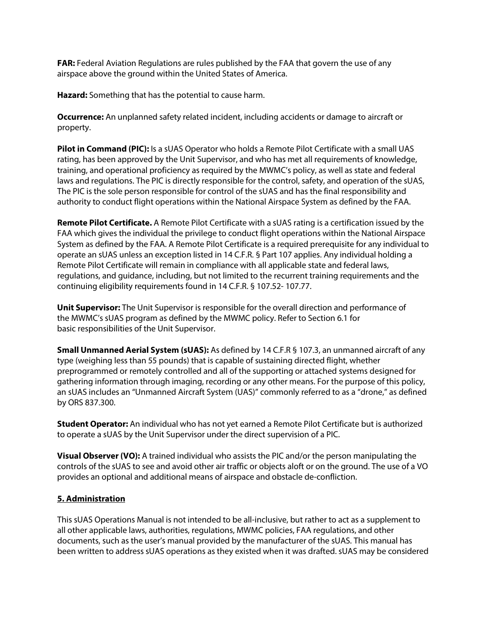**FAR:** Federal Aviation Regulations are rules published by the FAA that govern the use of any airspace above the ground within the United States of America.

**Hazard:** Something that has the potential to cause harm.

**Occurrence:** An unplanned safety related incident, including accidents or damage to aircraft or property.

**Pilot in Command (PIC):** Is a sUAS Operator who holds a Remote Pilot Certificate with a small UAS rating, has been approved by the Unit Supervisor, and who has met all requirements of knowledge, training, and operational proficiency as required by the MWMC's policy, as well as state and federal laws and regulations. The PIC is directly responsible for the control, safety, and operation of the sUAS, The PIC is the sole person responsible for control of the sUAS and has the final responsibility and authority to conduct flight operations within the National Airspace System as defined by the FAA.

**Remote Pilot Certificate.** A Remote Pilot Certificate with a sUAS rating is a certification issued by the FAA which gives the individual the privilege to conduct flight operations within the National Airspace System as defined by the FAA. A Remote Pilot Certificate is a required prerequisite for any individual to operate an sUAS unless an exception listed in 14 C.F.R. § Part 107 applies. Any individual holding a Remote Pilot Certificate will remain in compliance with all applicable state and federal laws, regulations, and guidance, including, but not limited to the recurrent training requirements and the continuing eligibility requirements found in 14 C.F.R. § 107.52- 107.77.

**Unit Supervisor:** The Unit Supervisor is responsible for the overall direction and performance of the MWMC's sUAS program as defined by the MWMC policy. Refer to Section 6.1 for basic responsibilities of the Unit Supervisor.

**Small Unmanned Aerial System (sUAS):** As defined by 14 C.F.R § 107.3, an unmanned aircraft of any type (weighing less than 55 pounds) that is capable of sustaining directed flight, whether preprogrammed or remotely controlled and all of the supporting or attached systems designed for gathering information through imaging, recording or any other means. For the purpose of this policy, an sUAS includes an "Unmanned Aircraft System (UAS)" commonly referred to as a "drone," as defined by ORS 837.300.

**Student Operator:** An individual who has not yet earned a Remote Pilot Certificate but is authorized to operate a sUAS by the Unit Supervisor under the direct supervision of a PIC.

**Visual Observer (VO):** A trained individual who assists the PIC and/or the person manipulating the controls of the sUAS to see and avoid other air traffic or objects aloft or on the ground. The use of a VO provides an optional and additional means of airspace and obstacle de-confliction.

# **5. Administration**

This sUAS Operations Manual is not intended to be all-inclusive, but rather to act as a supplement to all other applicable laws, authorities, regulations, MWMC policies, FAA regulations, and other documents, such as the user's manual provided by the manufacturer of the sUAS. This manual has been written to address sUAS operations as they existed when it was drafted. sUAS may be considered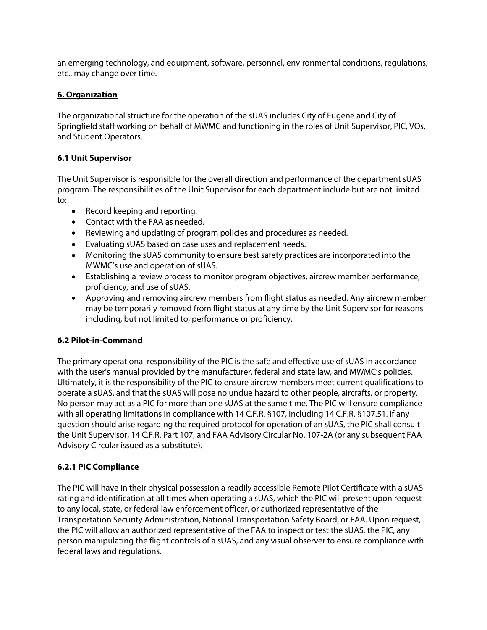an emerging technology, and equipment, software, personnel, environmental conditions, regulations, etc., may change over time.

# **6. Organization**

The organizational structure for the operation of the sUAS includes City of Eugene and City of Springfield staff working on behalf of MWMC and functioning in the roles of Unit Supervisor, PIC, VOs, and Student Operators.

# **6.1 Unit Supervisor**

The Unit Supervisor is responsible for the overall direction and performance of the department sUAS program. The responsibilities of the Unit Supervisor for each department include but are not limited to:

- Record keeping and reporting.
- Contact with the FAA as needed.
- Reviewing and updating of program policies and procedures as needed.
- Evaluating sUAS based on case uses and replacement needs.
- Monitoring the sUAS community to ensure best safety practices are incorporated into the MWMC's use and operation of sUAS.
- Establishing a review process to monitor program objectives, aircrew member performance, proficiency, and use of sUAS.
- Approving and removing aircrew members from flight status as needed. Any aircrew member may be temporarily removed from flight status at any time by the Unit Supervisor for reasons including, but not limited to, performance or proficiency.

# **6.2 Pilot-in-Command**

The primary operational responsibility of the PIC is the safe and effective use of sUAS in accordance with the user's manual provided by the manufacturer, federal and state law, and MWMC's policies. Ultimately, it is the responsibility of the PIC to ensure aircrew members meet current qualifications to operate a sUAS, and that the sUAS will pose no undue hazard to other people, aircrafts, or property. No person may act as a PIC for more than one sUAS at the same time. The PIC will ensure compliance with all operating limitations in compliance with 14 C.F.R. §107, including 14 C.F.R. §107.51. If any question should arise regarding the required protocol for operation of an sUAS, the PIC shall consult the Unit Supervisor, 14 C.F.R. Part 107, and FAA Advisory Circular No. 107-2A (or any subsequent FAA Advisory Circular issued as a substitute).

# **6.2.1 PIC Compliance**

The PIC will have in their physical possession a readily accessible Remote Pilot Certificate with a sUAS rating and identification at all times when operating a sUAS, which the PIC will present upon request to any local, state, or federal law enforcement officer, or authorized representative of the Transportation Security Administration, National Transportation Safety Board, or FAA. Upon request, the PIC will allow an authorized representative of the FAA to inspect or test the sUAS, the PIC, any person manipulating the flight controls of a sUAS, and any visual observer to ensure compliance with federal laws and regulations.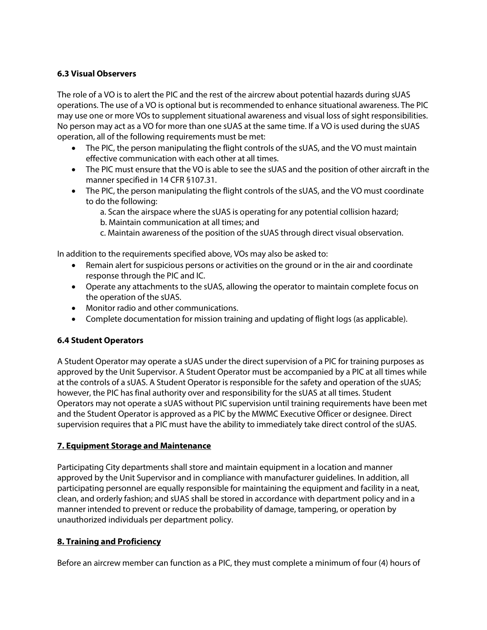# **6.3 Visual Observers**

The role of a VO is to alert the PIC and the rest of the aircrew about potential hazards during sUAS operations. The use of a VO is optional but is recommended to enhance situational awareness. The PIC may use one or more VOs to supplement situational awareness and visual loss of sight responsibilities. No person may act as a VO for more than one sUAS at the same time. If a VO is used during the sUAS operation, all of the following requirements must be met:

- The PIC, the person manipulating the flight controls of the sUAS, and the VO must maintain effective communication with each other at all times.
- The PIC must ensure that the VO is able to see the sUAS and the position of other aircraft in the manner specified in 14 CFR §107.31.
- The PIC, the person manipulating the flight controls of the sUAS, and the VO must coordinate to do the following:

a. Scan the airspace where the sUAS is operating for any potential collision hazard;

b. Maintain communication at all times; and

c. Maintain awareness of the position of the sUAS through direct visual observation.

In addition to the requirements specified above, VOs may also be asked to:

- Remain alert for suspicious persons or activities on the ground or in the air and coordinate response through the PIC and IC.
- Operate any attachments to the sUAS, allowing the operator to maintain complete focus on the operation of the sUAS.
- Monitor radio and other communications.
- Complete documentation for mission training and updating of flight logs (as applicable).

# **6.4 Student Operators**

A Student Operator may operate a sUAS under the direct supervision of a PIC for training purposes as approved by the Unit Supervisor. A Student Operator must be accompanied by a PIC at all times while at the controls of a sUAS. A Student Operator is responsible for the safety and operation of the sUAS; however, the PIC has final authority over and responsibility for the sUAS at all times. Student Operators may not operate a sUAS without PIC supervision until training requirements have been met and the Student Operator is approved as a PIC by the MWMC Executive Officer or designee. Direct supervision requires that a PIC must have the ability to immediately take direct control of the sUAS.

# **7. Equipment Storage and Maintenance**

Participating City departments shall store and maintain equipment in a location and manner approved by the Unit Supervisor and in compliance with manufacturer guidelines. In addition, all participating personnel are equally responsible for maintaining the equipment and facility in a neat, clean, and orderly fashion; and sUAS shall be stored in accordance with department policy and in a manner intended to prevent or reduce the probability of damage, tampering, or operation by unauthorized individuals per department policy.

# **8. Training and Proficiency**

Before an aircrew member can function as a PIC, they must complete a minimum of four (4) hours of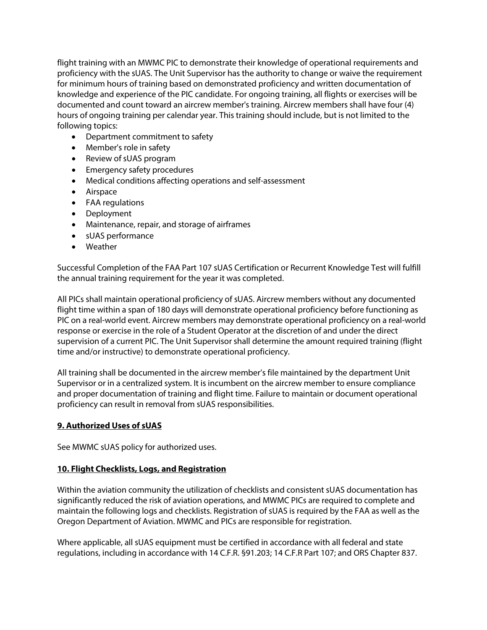flight training with an MWMC PIC to demonstrate their knowledge of operational requirements and proficiency with the sUAS. The Unit Supervisor has the authority to change or waive the requirement for minimum hours of training based on demonstrated proficiency and written documentation of knowledge and experience of the PIC candidate. For ongoing training, all flights or exercises will be documented and count toward an aircrew member's training. Aircrew members shall have four (4) hours of ongoing training per calendar year. This training should include, but is not limited to the following topics:

- Department commitment to safety
- Member's role in safety
- Review of sUAS program
- Emergency safety procedures
- Medical conditions affecting operations and self-assessment
- Airspace
- FAA regulations
- Deployment
- Maintenance, repair, and storage of airframes
- sUAS performance
- Weather

Successful Completion of the FAA Part 107 sUAS Certification or Recurrent Knowledge Test will fulfill the annual training requirement for the year it was completed.

All PICs shall maintain operational proficiency of sUAS. Aircrew members without any documented flight time within a span of 180 days will demonstrate operational proficiency before functioning as PIC on a real-world event. Aircrew members may demonstrate operational proficiency on a real-world response or exercise in the role of a Student Operator at the discretion of and under the direct supervision of a current PIC. The Unit Supervisor shall determine the amount required training (flight time and/or instructive) to demonstrate operational proficiency.

All training shall be documented in the aircrew member's file maintained by the department Unit Supervisor or in a centralized system. It is incumbent on the aircrew member to ensure compliance and proper documentation of training and flight time. Failure to maintain or document operational proficiency can result in removal from sUAS responsibilities.

# **9. Authorized Uses of sUAS**

See MWMC sUAS policy for authorized uses.

# **10. Flight Checklists, Logs, and Registration**

Within the aviation community the utilization of checklists and consistent sUAS documentation has significantly reduced the risk of aviation operations, and MWMC PICs are required to complete and maintain the following logs and checklists. Registration of sUAS is required by the FAA as well as the Oregon Department of Aviation. MWMC and PICs are responsible for registration.

Where applicable, all sUAS equipment must be certified in accordance with all federal and state regulations, including in accordance with 14 C.F.R. §91.203; 14 C.F.R Part 107; and ORS Chapter 837.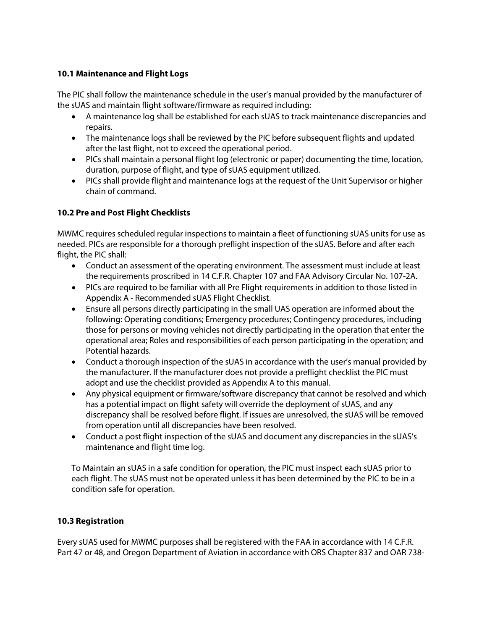# **10.1 Maintenance and Flight Logs**

The PIC shall follow the maintenance schedule in the user's manual provided by the manufacturer of the sUAS and maintain flight software/firmware as required including:

- A maintenance log shall be established for each sUAS to track maintenance discrepancies and repairs.
- The maintenance logs shall be reviewed by the PIC before subsequent flights and updated after the last flight, not to exceed the operational period.
- PICs shall maintain a personal flight log (electronic or paper) documenting the time, location, duration, purpose of flight, and type of sUAS equipment utilized.
- PICs shall provide flight and maintenance logs at the request of the Unit Supervisor or higher chain of command.

# **10.2 Pre and Post Flight Checklists**

MWMC requires scheduled regular inspections to maintain a fleet of functioning sUAS units for use as needed. PICs are responsible for a thorough preflight inspection of the sUAS. Before and after each flight, the PIC shall:

- Conduct an assessment of the operating environment. The assessment must include at least the requirements proscribed in 14 C.F.R. Chapter 107 and FAA Advisory Circular No. 107-2A.
- PICs are required to be familiar with all Pre Flight requirements in addition to those listed in Appendix A - Recommended sUAS Flight Checklist.
- Ensure all persons directly participating in the small UAS operation are informed about the following: Operating conditions; Emergency procedures; Contingency procedures, including those for persons or moving vehicles not directly participating in the operation that enter the operational area; Roles and responsibilities of each person participating in the operation; and Potential hazards.
- Conduct a thorough inspection of the sUAS in accordance with the user's manual provided by the manufacturer. If the manufacturer does not provide a preflight checklist the PIC must adopt and use the checklist provided as Appendix A to this manual.
- Any physical equipment or firmware/software discrepancy that cannot be resolved and which has a potential impact on flight safety will override the deployment of sUAS, and any discrepancy shall be resolved before flight. If issues are unresolved, the sUAS will be removed from operation until all discrepancies have been resolved.
- Conduct a post flight inspection of the sUAS and document any discrepancies in the sUAS's maintenance and flight time log.

To Maintain an sUAS in a safe condition for operation, the PIC must inspect each sUAS prior to each flight. The sUAS must not be operated unless it has been determined by the PIC to be in a condition safe for operation.

# **10.3 Registration**

Every sUAS used for MWMC purposes shall be registered with the FAA in accordance with 14 C.F.R. Part 47 or 48, and Oregon Department of Aviation in accordance with ORS Chapter 837 and OAR 738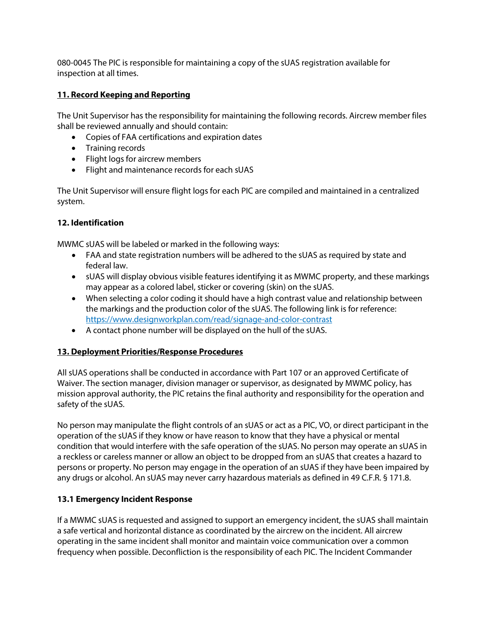080-0045 The PIC is responsible for maintaining a copy of the sUAS registration available for inspection at all times.

# **11. Record Keeping and Reporting**

The Unit Supervisor has the responsibility for maintaining the following records. Aircrew member files shall be reviewed annually and should contain:

- Copies of FAA certifications and expiration dates
- Training records
- Flight logs for aircrew members
- Flight and maintenance records for each sUAS

The Unit Supervisor will ensure flight logs for each PIC are compiled and maintained in a centralized system.

# **12. Identification**

MWMC sUAS will be labeled or marked in the following ways:

- FAA and state registration numbers will be adhered to the sUAS as required by state and federal law.
- sUAS will display obvious visible features identifying it as MWMC property, and these markings may appear as a colored label, sticker or covering (skin) on the sUAS.
- When selecting a color coding it should have a high contrast value and relationship between the markings and the production color of the sUAS. The following link is for reference: <https://www.designworkplan.com/read/signage-and-color-contrast>
- A contact phone number will be displayed on the hull of the sUAS.

# **13. Deployment Priorities/Response Procedures**

All sUAS operations shall be conducted in accordance with Part 107 or an approved Certificate of Waiver. The section manager, division manager or supervisor, as designated by MWMC policy, has mission approval authority, the PIC retains the final authority and responsibility for the operation and safety of the sUAS.

No person may manipulate the flight controls of an sUAS or act as a PIC, VO, or direct participant in the operation of the sUAS if they know or have reason to know that they have a physical or mental condition that would interfere with the safe operation of the sUAS. No person may operate an sUAS in a reckless or careless manner or allow an object to be dropped from an sUAS that creates a hazard to persons or property. No person may engage in the operation of an sUAS if they have been impaired by any drugs or alcohol. An sUAS may never carry hazardous materials as defined in 49 C.F.R. § 171.8.

# **13.1 Emergency Incident Response**

If a MWMC sUAS is requested and assigned to support an emergency incident, the sUAS shall maintain a safe vertical and horizontal distance as coordinated by the aircrew on the incident. All aircrew operating in the same incident shall monitor and maintain voice communication over a common frequency when possible. Deconfliction is the responsibility of each PIC. The Incident Commander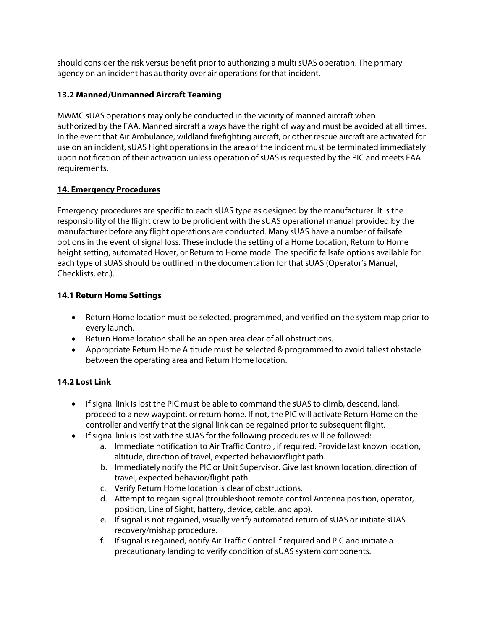should consider the risk versus benefit prior to authorizing a multi sUAS operation. The primary agency on an incident has authority over air operations for that incident.

# **13.2 Manned/Unmanned Aircraft Teaming**

MWMC sUAS operations may only be conducted in the vicinity of manned aircraft when authorized by the FAA. Manned aircraft always have the right of way and must be avoided at all times. In the event that Air Ambulance, wildland firefighting aircraft, or other rescue aircraft are activated for use on an incident, sUAS flight operations in the area of the incident must be terminated immediately upon notification of their activation unless operation of sUAS is requested by the PIC and meets FAA requirements.

# **14. Emergency Procedures**

Emergency procedures are specific to each sUAS type as designed by the manufacturer. It is the responsibility of the flight crew to be proficient with the sUAS operational manual provided by the manufacturer before any flight operations are conducted. Many sUAS have a number of failsafe options in the event of signal loss. These include the setting of a Home Location, Return to Home height setting, automated Hover, or Return to Home mode. The specific failsafe options available for each type of sUAS should be outlined in the documentation for that sUAS (Operator's Manual, Checklists, etc.).

# **14.1 Return Home Settings**

- Return Home location must be selected, programmed, and verified on the system map prior to every launch.
- Return Home location shall be an open area clear of all obstructions.
- Appropriate Return Home Altitude must be selected & programmed to avoid tallest obstacle between the operating area and Return Home location.

# **14.2 Lost Link**

- If signal link is lost the PIC must be able to command the sUAS to climb, descend, land, proceed to a new waypoint, or return home. If not, the PIC will activate Return Home on the controller and verify that the signal link can be regained prior to subsequent flight.
- If signal link is lost with the sUAS for the following procedures will be followed:
	- a. Immediate notification to Air Traffic Control, if required. Provide last known location, altitude, direction of travel, expected behavior/flight path.
	- b. Immediately notify the PIC or Unit Supervisor. Give last known location, direction of travel, expected behavior/flight path.
	- c. Verify Return Home location is clear of obstructions.
	- d. Attempt to regain signal (troubleshoot remote control Antenna position, operator, position, Line of Sight, battery, device, cable, and app).
	- e. If signal is not regained, visually verify automated return of sUAS or initiate sUAS recovery/mishap procedure.
	- f. If signal is regained, notify Air Traffic Control if required and PIC and initiate a precautionary landing to verify condition of sUAS system components.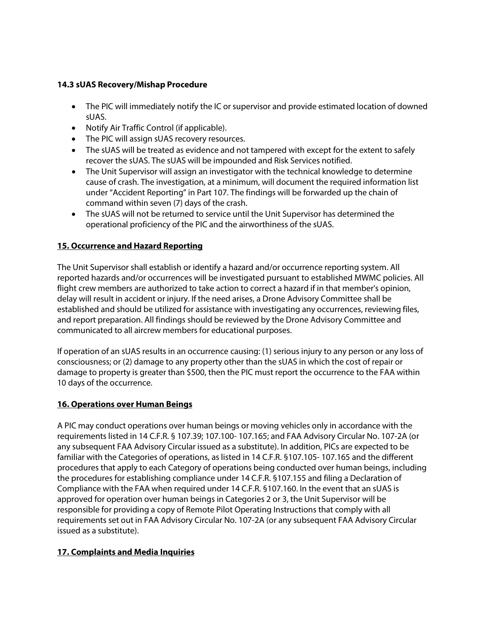# **14.3 sUAS Recovery/Mishap Procedure**

- The PIC will immediately notify the IC or supervisor and provide estimated location of downed sUAS.
- Notify Air Traffic Control (if applicable).
- The PIC will assign sUAS recovery resources.
- The sUAS will be treated as evidence and not tampered with except for the extent to safely recover the sUAS. The sUAS will be impounded and Risk Services notified.
- The Unit Supervisor will assign an investigator with the technical knowledge to determine cause of crash. The investigation, at a minimum, will document the required information list under "Accident Reporting" in Part 107. The findings will be forwarded up the chain of command within seven (7) days of the crash.
- The sUAS will not be returned to service until the Unit Supervisor has determined the operational proficiency of the PIC and the airworthiness of the sUAS.

# **15. Occurrence and Hazard Reporting**

The Unit Supervisor shall establish or identify a hazard and/or occurrence reporting system. All reported hazards and/or occurrences will be investigated pursuant to established MWMC policies. All flight crew members are authorized to take action to correct a hazard if in that member's opinion, delay will result in accident or injury. If the need arises, a Drone Advisory Committee shall be established and should be utilized for assistance with investigating any occurrences, reviewing files, and report preparation. All findings should be reviewed by the Drone Advisory Committee and communicated to all aircrew members for educational purposes.

If operation of an sUAS results in an occurrence causing: (1) serious injury to any person or any loss of consciousness; or (2) damage to any property other than the sUAS in which the cost of repair or damage to property is greater than \$500, then the PIC must report the occurrence to the FAA within 10 days of the occurrence.

# **16. Operations over Human Beings**

A PIC may conduct operations over human beings or moving vehicles only in accordance with the requirements listed in 14 C.F.R. § 107.39; 107.100- 107.165; and FAA Advisory Circular No. 107-2A (or any subsequent FAA Advisory Circular issued as a substitute). In addition, PICs are expected to be familiar with the Categories of operations, as listed in 14 C.F.R. §107.105- 107.165 and the different procedures that apply to each Category of operations being conducted over human beings, including the procedures for establishing compliance under 14 C.F.R. §107.155 and filing a Declaration of Compliance with the FAA when required under 14 C.F.R. §107.160. In the event that an sUAS is approved for operation over human beings in Categories 2 or 3, the Unit Supervisor will be responsible for providing a copy of Remote Pilot Operating Instructions that comply with all requirements set out in FAA Advisory Circular No. 107-2A (or any subsequent FAA Advisory Circular issued as a substitute).

# **17. Complaints and Media Inquiries**